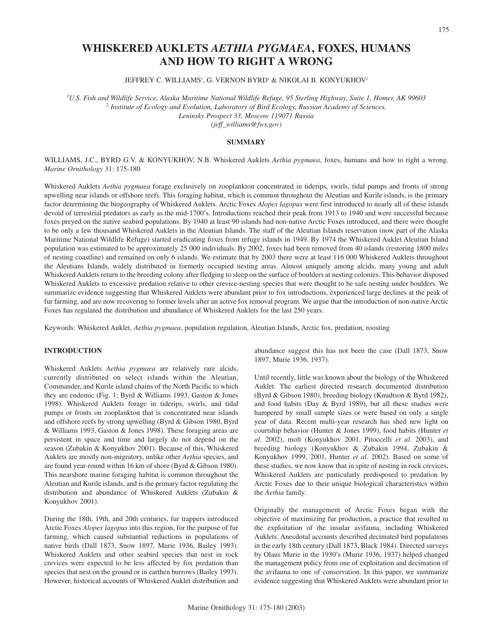# **WHISKERED AUKLETS** *AETHIA PYGMAEA***, FOXES, HUMANS AND HOW TO RIGHT A WRONG**

JEFFREY C. WILLIAMS<sup>1</sup>, G. VERNON BYRD<sup>1</sup> & NIKOLAI B. KONYUKHOV<sup>2</sup>

*1U.S. Fish and Wildlife Service, Alaska Maritime National Wildlife Refuge, 95 Sterling Highway, Suite 1, Homer, AK 99603 <sup>2</sup> Institute of Ecology and Evolution, Laboratory of Bird Ecology, Russian Academy of Sciences, Leninsky Prospect 33, Moscow 119071 Russia*

*(jeff\_williams@fws.gov)*

## **SUMMARY**

WILLIAMS, J.C., BYRD G.V. & KONYUKHOV, N.B. Whiskered Auklets *Aethia pygmaea*, foxes, humans and how to right a wrong. *Marine Ornithology* 31: 175-180

Whiskered Auklets *Aethia pygmaea* forage exclusively on zooplankton concentrated in tiderips, swirls, tidal pumps and fronts of strong upwelling near islands or offshore reefs. This foraging habitat, which is common throughout the Aleutian and Kurile islands, is the primary factor determining the biogeography of Whiskered Auklets. Arctic Foxes *Alopex lagopus* were first introduced to nearly all of these islands devoid of terrestrial predators as early as the mid-1700's. Introductions reached their peak from 1913 to 1940 and were successful because foxes preyed on the native seabird populations. By 1940 at least 90 islands had non-native Arctic Foxes introduced, and there were thought to be only a few thousand Whiskered Auklets in the Aleutian Islands. The staff of the Aleutian Islands reservation (now part of the Alaska Maritime National Wildlife Refuge) started eradicating foxes from refuge islands in 1949. By 1974 the Whiskered Auklet Aleutian Island population was estimated to be approximately 25 000 individuals. By 2002, foxes had been removed from 40 islands (restoring 1800 miles of nesting coastline) and remained on only 6 islands. We estimate that by 2003 there were at least 116 000 Whiskered Auklets throughout the Aleutians Islands, widely distributed in formerly occupied nesting areas. Almost uniquely among alcids, many young and adult Whiskered Auklets return to the breeding colony after fledging to sleep on the surface of boulders at nesting colonies. This behavior disposed Whiskered Auklets to excessive predation relative to other crevice-nesting species that were thought to be safe nesting under boulders. We summarize evidence suggesting that Whiskered Auklets were abundant prior to fox introductions, experienced large declines at the peak of fur farming, and are now recovering to former levels after an active fox removal program. We argue that the introduction of non-native Arctic Foxes has regulated the distribution and abundance of Whiskered Auklets for the last 250 years.

Keywords: Whiskered Auklet, *Aethia pygmaea*, population regulation, Aleutian Islands, Arctic fox, predation, roosting

# **INTRODUCTION**

Whiskered Auklets *Aethia pygmaea* are relatively rare alcids, currently distributed on select islands within the Aleutian, Commander, and Kurile island chains of the North Pacific to which they are endemic (Fig. 1; Byrd & Williams 1993, Gaston & Jones 1998). Whiskered Auklets forage in tiderips, swirls, and tidal pumps or fronts on zooplankton that is concentrated near islands and offshore reefs by strong upwelling (Byrd & Gibson 1980, Byrd & Williams 1993, Gaston & Jones 1998). These foraging areas are persistent in space and time and largely do not depend on the season (Zubakin & Konyukhov 2001). Because of this, Whiskered Auklets are mostly non-migratory, unlike other *Aethia* species, and are found year-round within 16 km of shore (Byrd & Gibson 1980). This nearshore marine foraging habitat is common throughout the Aleutian and Kurile islands, and is the primary factor regulating the distribution and abundance of Whiskered Auklets (Zubakin & Konyukhov 2001).

During the 18th, 19th, and 20th centuries, fur trappers introduced Arctic Foxes *Alopex lagopus* into this region, for the purpose of fur farming, which caused substantial reductions in populations of native birds (Dall 1873, Snow 1897, Murie 1936, Bailey 1993). Whiskered Auklets and other seabird species that nest in rock crevices were expected to be less affected by fox predation than species that nest on the ground or in earthen burrows (Bailey 1993). However, historical accounts of Whiskered Auklet distribution and abundance suggest this has not been the case (Dall 1873, Snow 1897, Murie 1936, 1937).

Until recently, little was known about the biology of the Whiskered Auklet. The earliest directed research documented distribution (Byrd & Gibson 1980), breeding biology (Knudtson & Byrd 1982), and food habits (Day & Byrd 1989), but all these studies were hampered by small sample sizes or were based on only a single year of data. Recent multi-year research has shed new light on courtship behavior (Hunter & Jones 1999), food habits (Hunter *et al*. 2002), molt (Konyukhov 2001, Pitoccelli *et al*. 2003), and breeding biology (Konyukhov & Zubakin 1994, Zubakin & Konyukhov 1999, 2001, Hunter *et al*. 2002). Based on some of these studies, we now know that in spite of nesting in rock crevices, Whiskered Auklets are particularly predisposed to predation by Arctic Foxes due to their unique biological characteristics within the *Aethia* family.

Originally the management of Arctic Foxes began with the objective of maximizing fur production, a practice that resulted in the exploitation of the insular avifauna, including Whiskered Auklets. Anecdotal accounts described decimated bird populations in the early 18th century (Dall 1873, Black 1984). Directed surveys by Olaus Murie in the 1930's (Murie 1936, 1937) helped changed the management policy from one of exploitation and decimation of the avifauna to one of conservation. In this paper, we summarize evidence suggesting that Whiskered Auklets were abundant prior to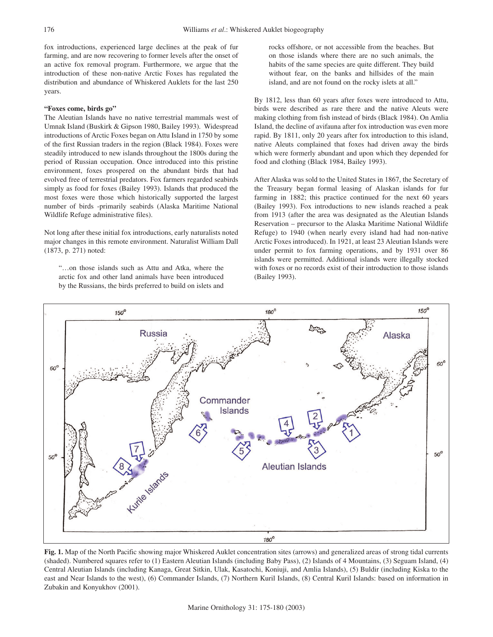fox introductions, experienced large declines at the peak of fur farming, and are now recovering to former levels after the onset of an active fox removal program. Furthermore, we argue that the introduction of these non-native Arctic Foxes has regulated the distribution and abundance of Whiskered Auklets for the last 250 years.

#### **"Foxes come, birds go"**

The Aleutian Islands have no native terrestrial mammals west of Umnak Island (Buskirk & Gipson 1980, Bailey 1993). Widespread introductions of Arctic Foxes began on Attu Island in 1750 by some of the first Russian traders in the region (Black 1984). Foxes were steadily introduced to new islands throughout the 1800s during the period of Russian occupation. Once introduced into this pristine environment, foxes prospered on the abundant birds that had evolved free of terrestrial predators. Fox farmers regarded seabirds simply as food for foxes (Bailey 1993). Islands that produced the most foxes were those which historically supported the largest number of birds -primarily seabirds (Alaska Maritime National Wildlife Refuge administrative files).

Not long after these initial fox introductions, early naturalists noted major changes in this remote environment. Naturalist William Dall (1873, p. 271) noted:

"…on those islands such as Attu and Atka, where the arctic fox and other land animals have been introduced by the Russians, the birds preferred to build on islets and

rocks offshore, or not accessible from the beaches. But on those islands where there are no such animals, the habits of the same species are quite different. They build without fear, on the banks and hillsides of the main island, and are not found on the rocky islets at all."

By 1812, less than 60 years after foxes were introduced to Attu, birds were described as rare there and the native Aleuts were making clothing from fish instead of birds (Black 1984). On Amlia Island, the decline of avifauna after fox introduction was even more rapid. By 1811, only 20 years after fox introduction to this island, native Aleuts complained that foxes had driven away the birds which were formerly abundant and upon which they depended for food and clothing (Black 1984, Bailey 1993).

After Alaska was sold to the United States in 1867, the Secretary of the Treasury began formal leasing of Alaskan islands for fur farming in 1882; this practice continued for the next 60 years (Bailey 1993). Fox introductions to new islands reached a peak from 1913 (after the area was designated as the Aleutian Islands Reservation – precursor to the Alaska Maritime National Wildlife Refuge) to 1940 (when nearly every island had had non-native Arctic Foxes introduced). In 1921, at least 23 Aleutian Islands were under permit to fox farming operations, and by 1931 over 86 islands were permitted. Additional islands were illegally stocked with foxes or no records exist of their introduction to those islands (Bailey 1993).



**Fig. 1.** Map of the North Pacific showing major Whiskered Auklet concentration sites (arrows) and generalized areas of strong tidal currents (shaded). Numbered squares refer to (1) Eastern Aleutian Islands (including Baby Pass), (2) Islands of 4 Mountains, (3) Seguam Island, (4) Central Aleutian Islands (including Kanaga, Great Sitkin, Ulak, Kasatochi, Koniuji, and Amlia Islands), (5) Buldir (including Kiska to the east and Near Islands to the west), (6) Commander Islands, (7) Northern Kuril Islands, (8) Central Kuril Islands: based on information in Zubakin and Konyukhov (2001).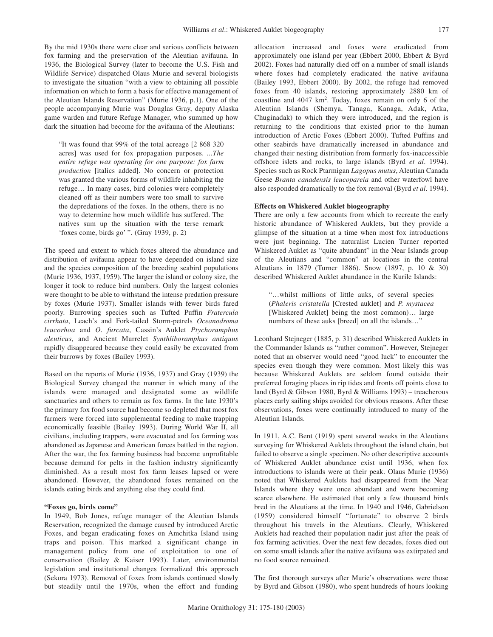By the mid 1930s there were clear and serious conflicts between fox farming and the preservation of the Aleutian avifauna. In 1936, the Biological Survey (later to become the U.S. Fish and Wildlife Service) dispatched Olaus Murie and several biologists to investigate the situation "with a view to obtaining all possible information on which to form a basis for effective management of the Aleutian Islands Reservation" (Murie 1936, p.1). One of the people accompanying Murie was Douglas Gray, deputy Alaska game warden and future Refuge Manager, who summed up how dark the situation had become for the avifauna of the Aleutians:

"It was found that 99% of the total acreage [2 868 320 acres] was used for fox propagation purposes. *...The entire refuge was operating for one purpose: fox farm production* [italics added]. No concern or protection was granted the various forms of wildlife inhabiting the refuge… In many cases, bird colonies were completely cleaned off as their numbers were too small to survive the depredations of the foxes. In the others, there is no way to determine how much wildlife has suffered. The natives sum up the situation with the terse remark 'foxes come, birds go' ". (Gray 1939, p. 2)

The speed and extent to which foxes altered the abundance and distribution of avifauna appear to have depended on island size and the species composition of the breeding seabird populations (Murie 1936, 1937, 1959). The larger the island or colony size, the longer it took to reduce bird numbers. Only the largest colonies were thought to be able to withstand the intense predation pressure by foxes (Murie 1937). Smaller islands with fewer birds fared poorly. Burrowing species such as Tufted Puffin *Fratercula cirrhata*, Leach's and Fork-tailed Storm-petrels *Oceanodroma leucorhoa* and *O. furcata*, Cassin's Auklet *Ptychoramphus aleuticus*, and Ancient Murrelet *Synthliboramphus antiquus* rapidly disappeared because they could easily be excavated from their burrows by foxes (Bailey 1993).

Based on the reports of Murie (1936, 1937) and Gray (1939) the Biological Survey changed the manner in which many of the islands were managed and designated some as wildlife sanctuaries and others to remain as fox farms. In the late 1930's the primary fox food source had become so depleted that most fox farmers were forced into supplemental feeding to make trapping economically feasible (Bailey 1993). During World War II, all civilians, including trappers, were evacuated and fox farming was abandoned as Japanese and American forces battled in the region. After the war, the fox farming business had become unprofitable because demand for pelts in the fashion industry significantly diminished. As a result most fox farm leases lapsed or were abandoned. However, the abandoned foxes remained on the islands eating birds and anything else they could find.

#### **"Foxes go, birds come"**

In 1949, Bob Jones, refuge manager of the Aleutian Islands Reservation, recognized the damage caused by introduced Arctic Foxes, and began eradicating foxes on Amchitka Island using traps and poison. This marked a significant change in management policy from one of exploitation to one of conservation (Bailey & Kaiser 1993). Later, environmental legislation and institutional changes formalized this approach (Sekora 1973). Removal of foxes from islands continued slowly but steadily until the 1970s, when the effort and funding allocation increased and foxes were eradicated from approximately one island per year (Ebbert 2000, Ebbert & Byrd 2002). Foxes had naturally died off on a number of small islands where foxes had completely eradicated the native avifauna (Bailey 1993, Ebbert 2000). By 2002, the refuge had removed foxes from 40 islands, restoring approximately 2880 km of coastline and 4047 km2. Today, foxes remain on only 6 of the Aleutian Islands (Shemya, Tanaga, Kanaga, Adak, Atka, Chuginadak) to which they were introduced, and the region is returning to the conditions that existed prior to the human introduction of Arctic Foxes (Ebbert 2000). Tufted Puffins and other seabirds have dramatically increased in abundance and changed their nesting distribution from formerly fox-inaccessible offshore islets and rocks, to large islands (Byrd *et al*. 1994). Species such as Rock Ptarmigan *Lagopus mutus*, Aleutian Canada Geese *Branta canadensis leucopareia* and other waterfowl have also responded dramatically to the fox removal (Byrd *et al*. 1994).

#### **Effects on Whiskered Auklet biogeography**

There are only a few accounts from which to recreate the early historic abundance of Whiskered Auklets, but they provide a glimpse of the situation at a time when most fox introductions were just beginning. The naturalist Lucien Turner reported Whiskered Auklet as "quite abundant" in the Near Islands group of the Aleutians and "common" at locations in the central Aleutians in 1879 (Turner 1886). Snow (1897, p. 10 & 30) described Whiskered Auklet abundance in the Kurile Islands:

"…whilst millions of little auks, of several species (*Phaleris cristatella* [Crested auklet] and *P. mystacea* [Whiskered Auklet] being the most common)… large numbers of these auks [breed] on all the islands…"

Leonhard Stejneger (1885, p. 31) described Whiskered Auklets in the Commander Islands as "rather common". However, Stejneger noted that an observer would need "good luck" to encounter the species even though they were common. Most likely this was because Whiskered Auklets are seldom found outside their preferred foraging places in rip tides and fronts off points close to land (Byrd & Gibson 1980, Byrd & Williams 1993) – treacherous places early sailing ships avoided for obvious reasons. After these observations, foxes were continually introduced to many of the Aleutian Islands.

In 1911, A.C. Bent (1919) spent several weeks in the Aleutians surveying for Whiskered Auklets throughout the island chain, but failed to observe a single specimen. No other descriptive accounts of Whiskered Auklet abundance exist until 1936, when fox introductions to islands were at their peak. Olaus Murie (1936) noted that Whiskered Auklets had disappeared from the Near Islands where they were once abundant and were becoming scarce elsewhere. He estimated that only a few thousand birds bred in the Aleutians at the time. In 1940 and 1946, Gabrielson (1959) considered himself "fortunate" to observe 2 birds throughout his travels in the Aleutians. Clearly, Whiskered Auklets had reached their population nadir just after the peak of fox farming activities. Over the next few decades, foxes died out on some small islands after the native avifauna was extirpated and no food source remained.

The first thorough surveys after Murie's observations were those by Byrd and Gibson (1980), who spent hundreds of hours looking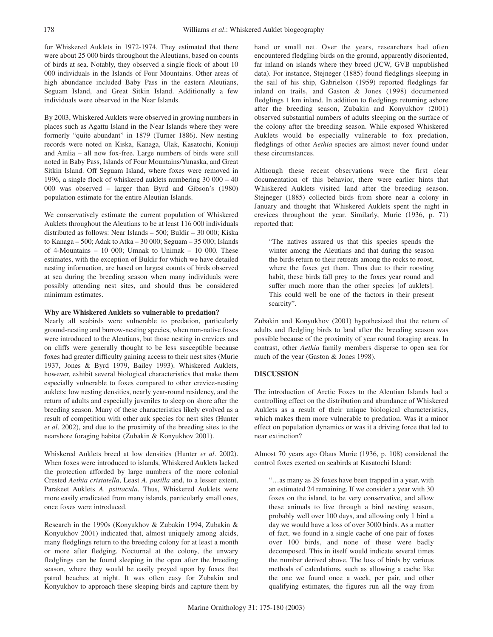for Whiskered Auklets in 1972-1974. They estimated that there were about 25 000 birds throughout the Aleutians, based on counts of birds at sea. Notably, they observed a single flock of about 10 000 individuals in the Islands of Four Mountains. Other areas of high abundance included Baby Pass in the eastern Aleutians, Seguam Island, and Great Sitkin Island. Additionally a few individuals were observed in the Near Islands.

By 2003, Whiskered Auklets were observed in growing numbers in places such as Agattu Island in the Near Islands where they were formerly "quite abundant" in 1879 (Turner 1886). New nesting records were noted on Kiska, Kanaga, Ulak, Kasatochi, Koniuji and Amlia – all now fox-free. Large numbers of birds were still noted in Baby Pass, Islands of Four Mountains/Yunaska, and Great Sitkin Island. Off Seguam Island, where foxes were removed in 1996, a single flock of whiskered auklets numbering 30 000 – 40 000 was observed – larger than Byrd and Gibson's (1980) population estimate for the entire Aleutian Islands.

We conservatively estimate the current population of Whiskered Auklets throughout the Aleutians to be at least 116 000 individuals distributed as follows: Near Islands – 500; Buldir – 30 000; Kiska to Kanaga – 500; Adak to Atka – 30 000; Seguam – 35 000; Islands of 4-Mountains  $-10000$ ; Umnak to Unimak  $-10000$ . These estimates, with the exception of Buldir for which we have detailed nesting information, are based on largest counts of birds observed at sea during the breeding season when many individuals were possibly attending nest sites, and should thus be considered minimum estimates.

#### **Why are Whiskered Auklets so vulnerable to predation?**

Nearly all seabirds were vulnerable to predation, particularly ground-nesting and burrow-nesting species, when non-native foxes were introduced to the Aleutians, but those nesting in crevices and on cliffs were generally thought to be less susceptible because foxes had greater difficulty gaining access to their nest sites (Murie 1937, Jones & Byrd 1979, Bailey 1993). Whiskered Auklets, however, exhibit several biological characteristics that make them especially vulnerable to foxes compared to other crevice-nesting auklets: low nesting densities, nearly year-round residency, and the return of adults and especially juveniles to sleep on shore after the breeding season. Many of these characteristics likely evolved as a result of competition with other auk species for nest sites (Hunter *et al*. 2002), and due to the proximity of the breeding sites to the nearshore foraging habitat (Zubakin & Konyukhov 2001).

Whiskered Auklets breed at low densities (Hunter *et al*. 2002). When foxes were introduced to islands, Whiskered Auklets lacked the protection afforded by large numbers of the more colonial Crested *Aethia cristatella*, Least *A. pusilla* and, to a lesser extent, Parakeet Auklets *A. psittacula*. Thus, Whiskered Auklets were more easily eradicated from many islands, particularly small ones, once foxes were introduced.

Research in the 1990s (Konyukhov & Zubakin 1994, Zubakin & Konyukhov 2001) indicated that, almost uniquely among alcids, many fledglings return to the breeding colony for at least a month or more after fledging. Nocturnal at the colony, the unwary fledglings can be found sleeping in the open after the breeding season, where they would be easily preyed upon by foxes that patrol beaches at night. It was often easy for Zubakin and Konyukhov to approach these sleeping birds and capture them by hand or small net. Over the years, researchers had often encountered fledgling birds on the ground, apparently disoriented, far inland on islands where they breed (JCW, GVB unpublished data). For instance, Stejneger (1885) found fledglings sleeping in the sail of his ship, Gabrielson (1959) reported fledglings far inland on trails, and Gaston & Jones (1998) documented fledglings 1 km inland. In addition to fledglings returning ashore after the breeding season, Zubakin and Konyukhov (2001) observed substantial numbers of adults sleeping on the surface of the colony after the breeding season. While exposed Whiskered Auklets would be especially vulnerable to fox predation, fledglings of other *Aethia* species are almost never found under these circumstances.

Although these recent observations were the first clear documentation of this behavior, there were earlier hints that Whiskered Auklets visited land after the breeding season. Stejneger (1885) collected birds from shore near a colony in January and thought that Whiskered Auklets spent the night in crevices throughout the year. Similarly, Murie (1936, p. 71) reported that:

"The natives assured us that this species spends the winter among the Aleutians and that during the season the birds return to their retreats among the rocks to roost, where the foxes get them. Thus due to their roosting habit, these birds fall prey to the foxes year round and suffer much more than the other species [of auklets]. This could well be one of the factors in their present scarcity".

Zubakin and Konyukhov (2001) hypothesized that the return of adults and fledgling birds to land after the breeding season was possible because of the proximity of year round foraging areas. In contrast, other *Aethia* family members disperse to open sea for much of the year (Gaston & Jones 1998).

### **DISCUSSION**

The introduction of Arctic Foxes to the Aleutian Islands had a controlling effect on the distribution and abundance of Whiskered Auklets as a result of their unique biological characteristics, which makes them more vulnerable to predation. Was it a minor effect on population dynamics or was it a driving force that led to near extinction?

Almost 70 years ago Olaus Murie (1936, p. 108) considered the control foxes exerted on seabirds at Kasatochi Island:

"…as many as 29 foxes have been trapped in a year, with an estimated 24 remaining. If we consider a year with 30 foxes on the island, to be very conservative, and allow these animals to live through a bird nesting season, probably well over 100 days, and allowing only 1 bird a day we would have a loss of over 3000 birds. As a matter of fact, we found in a single cache of one pair of foxes over 100 birds, and none of these were badly decomposed. This in itself would indicate several times the number derived above. The loss of birds by various methods of calculations, such as allowing a cache like the one we found once a week, per pair, and other qualifying estimates, the figures run all the way from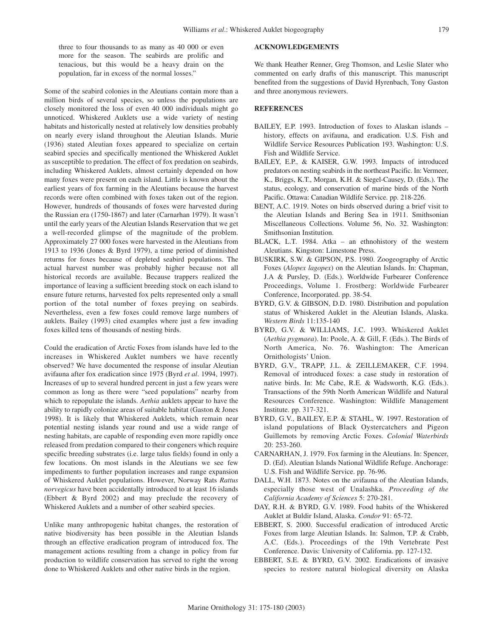three to four thousands to as many as 40 000 or even more for the season. The seabirds are prolific and tenacious, but this would be a heavy drain on the population, far in excess of the normal losses."

Some of the seabird colonies in the Aleutians contain more than a million birds of several species, so unless the populations are closely monitored the loss of even 40 000 individuals might go unnoticed. Whiskered Auklets use a wide variety of nesting habitats and historically nested at relatively low densities probably on nearly every island throughout the Aleutian Islands. Murie (1936) stated Aleutian foxes appeared to specialize on certain seabird species and specifically mentioned the Whiskered Auklet as susceptible to predation. The effect of fox predation on seabirds, including Whiskered Auklets, almost certainly depended on how many foxes were present on each island. Little is known about the earliest years of fox farming in the Aleutians because the harvest records were often combined with foxes taken out of the region. However, hundreds of thousands of foxes were harvested during the Russian era (1750-1867) and later (Carnarhan 1979). It wasn't until the early years of the Aleutian Islands Reservation that we get a well-recorded glimpse of the magnitude of the problem. Approximately 27 000 foxes were harvested in the Aleutians from 1913 to 1936 (Jones & Byrd 1979), a time period of diminished returns for foxes because of depleted seabird populations. The actual harvest number was probably higher because not all historical records are available. Because trappers realized the importance of leaving a sufficient breeding stock on each island to ensure future returns, harvested fox pelts represented only a small portion of the total number of foxes preying on seabirds. Nevertheless, even a few foxes could remove large numbers of auklets. Bailey (1993) cited examples where just a few invading foxes killed tens of thousands of nesting birds.

Could the eradication of Arctic Foxes from islands have led to the increases in Whiskered Auklet numbers we have recently observed? We have documented the response of insular Aleutian avifauna after fox eradication since 1975 (Byrd *et al*. 1994, 1997). Increases of up to several hundred percent in just a few years were common as long as there were "seed populations" nearby from which to repopulate the islands. *Aethia* auklets appear to have the ability to rapidly colonize areas of suitable habitat (Gaston & Jones 1998). It is likely that Whiskered Auklets, which remain near potential nesting islands year round and use a wide range of nesting habitats, are capable of responding even more rapidly once released from predation compared to their congeners which require specific breeding substrates (i.e. large talus fields) found in only a few locations. On most islands in the Aleutians we see few impediments to further population increases and range expansion of Whiskered Auklet populations. However, Norway Rats *Rattus norvegicus* have been accidentally introduced to at least 16 islands (Ebbert & Byrd 2002) and may preclude the recovery of Whiskered Auklets and a number of other seabird species.

Unlike many anthropogenic habitat changes, the restoration of native biodiversity has been possible in the Aleutian Islands through an effective eradication program of introduced fox. The management actions resulting from a change in policy from fur production to wildlife conservation has served to right the wrong done to Whiskered Auklets and other native birds in the region.

#### **ACKNOWLEDGEMENTS**

We thank Heather Renner, Greg Thomson, and Leslie Slater who commented on early drafts of this manuscript. This manuscript benefited from the suggestions of David Hyrenbach, Tony Gaston and three anonymous reviewers.

#### **REFERENCES**

- BAILEY, E.P. 1993. Introduction of foxes to Alaskan islands history, effects on avifauna, and eradication. U.S. Fish and Wildlife Service Resources Publication 193. Washington: U.S. Fish and Wildlife Service.
- BAILEY, E.P., & KAISER, G.W. 1993. Impacts of introduced predators on nesting seabirds in the northeast Pacific. In: Vermeer, K., Briggs, K.T., Morgan, K.H. & Siegel-Causey, D. (Eds.). The status, ecology, and conservation of marine birds of the North Pacific. Ottawa: Canadian Wildlife Service. pp. 218-226.
- BENT, A.C. 1919. Notes on birds observed during a brief visit to the Aleutian Islands and Bering Sea in 1911. Smithsonian Miscellaneous Collections. Volume 56, No. 32. Washington: Smithsonian Institution.
- BLACK, L.T. 1984. Atka an ethnohistory of the western Aleutians. Kingston: Limestone Press.
- BUSKIRK, S.W. & GIPSON, P.S. 1980. Zoogeography of Arctic Foxes (*Alopex lagopex*) on the Aleutian Islands. In: Chapman, J.A & Pursley, D. (Eds.). Worldwide Furbearer Conference Proceedings, Volume 1. Frostberg: Worldwide Furbearer Conference, Incorporated. pp. 38-54.
- BYRD, G.V. & GIBSON, D.D. 1980. Distribution and population status of Whiskered Auklet in the Aleutian Islands, Alaska. *Western Birds* 11:135-140
- BYRD, G.V. & WILLIAMS, J.C. 1993. Whiskered Auklet (*Aethia pygmaea*). In: Poole, A. & Gill, F. (Eds.). The Birds of North America, No. 76. Washington: The American Ornithologists' Union.
- BYRD, G.V., TRAPP, J.L. & ZEILLEMAKER, C.F. 1994. Removal of introduced foxes: a case study in restoration of native birds. In: Mc Cabe, R.E. & Wadsworth, K.G. (Eds.). Transactions of the 59th North American Wildlife and Natural Resources Conference. Washington: Wildlife Management Institute. pp. 317-321.
- BYRD, G.V., BAILEY, E.P. & STAHL, W. 1997. Restoration of island populations of Black Oystercatchers and Pigeon Guillemots by removing Arctic Foxes. *Colonial Waterbirds* 20: 253-260.
- CARNARHAN, J. 1979. Fox farming in the Aleutians. In: Spencer, D. (Ed). Aleutian Islands National Wildlife Refuge. Anchorage: U.S. Fish and Wildlife Service. pp. 76-96.
- DALL, W.H. 1873. Notes on the avifauna of the Aleutian Islands, especially those west of Unalashka. *Proceeding of the California Academy of Sciences* 5: 270-281.
- DAY, R.H. & BYRD, G.V. 1989. Food habits of the Whiskered Auklet at Buldir Island, Alaska. *Condor* 91: 65-72.
- EBBERT, S. 2000. Successful eradication of introduced Arctic Foxes from large Aleutian Islands. In: Salmon, T.P. & Crabb, A.C. (Eds.). Proceedings of the 19th Vertebrate Pest Conference. Davis: University of California. pp. 127-132.
- EBBERT, S.E. & BYRD, G.V. 2002. Eradications of invasive species to restore natural biological diversity on Alaska